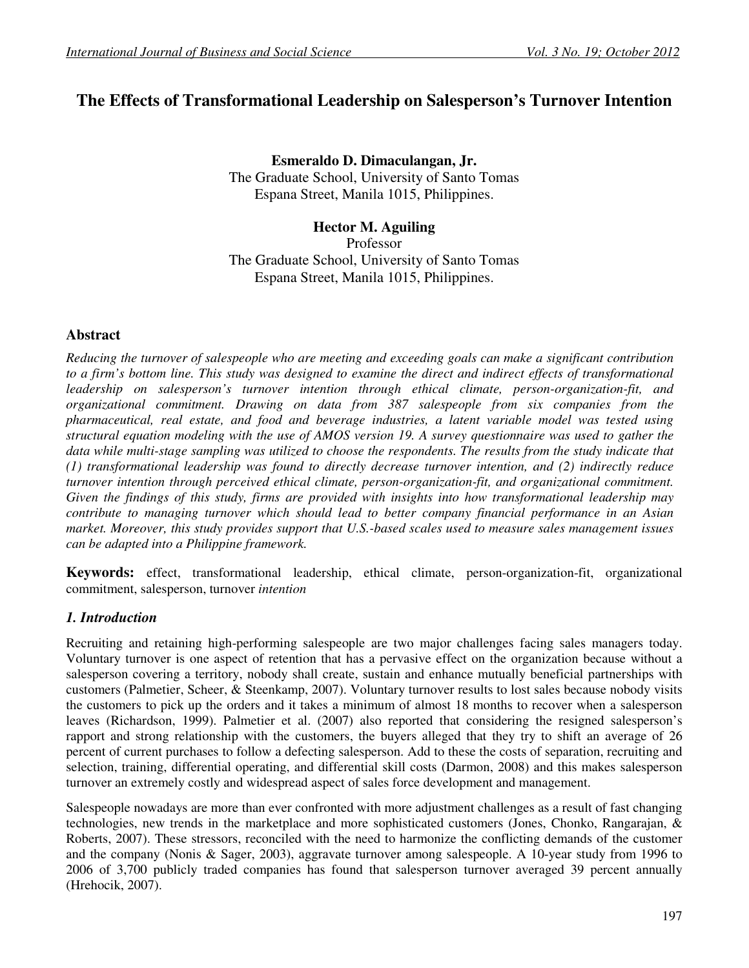# **The Effects of Transformational Leadership on Salesperson's Turnover Intention**

**Esmeraldo D. Dimaculangan, Jr.** The Graduate School, University of Santo Tomas Espana Street, Manila 1015, Philippines.

**Hector M. Aguiling**  Professor The Graduate School, University of Santo Tomas Espana Street, Manila 1015, Philippines.

# **Abstract**

*Reducing the turnover of salespeople who are meeting and exceeding goals can make a significant contribution to a firm's bottom line. This study was designed to examine the direct and indirect effects of transformational leadership on salesperson's turnover intention through ethical climate, person-organization-fit, and organizational commitment. Drawing on data from 387 salespeople from six companies from the pharmaceutical, real estate, and food and beverage industries, a latent variable model was tested using structural equation modeling with the use of AMOS version 19. A survey questionnaire was used to gather the*  data while multi-stage sampling was utilized to choose the respondents. The results from the study indicate that *(1) transformational leadership was found to directly decrease turnover intention, and (2) indirectly reduce turnover intention through perceived ethical climate, person-organization-fit, and organizational commitment. Given the findings of this study, firms are provided with insights into how transformational leadership may contribute to managing turnover which should lead to better company financial performance in an Asian market. Moreover, this study provides support that U.S.-based scales used to measure sales management issues can be adapted into a Philippine framework.*

**Keywords:** effect, transformational leadership, ethical climate, person-organization-fit, organizational commitment, salesperson, turnover *intention* 

# *1. Introduction*

Recruiting and retaining high-performing salespeople are two major challenges facing sales managers today. Voluntary turnover is one aspect of retention that has a pervasive effect on the organization because without a salesperson covering a territory, nobody shall create, sustain and enhance mutually beneficial partnerships with customers (Palmetier, Scheer, & Steenkamp, 2007). Voluntary turnover results to lost sales because nobody visits the customers to pick up the orders and it takes a minimum of almost 18 months to recover when a salesperson leaves (Richardson, 1999). Palmetier et al. (2007) also reported that considering the resigned salesperson's rapport and strong relationship with the customers, the buyers alleged that they try to shift an average of 26 percent of current purchases to follow a defecting salesperson. Add to these the costs of separation, recruiting and selection, training, differential operating, and differential skill costs (Darmon, 2008) and this makes salesperson turnover an extremely costly and widespread aspect of sales force development and management.

Salespeople nowadays are more than ever confronted with more adjustment challenges as a result of fast changing technologies, new trends in the marketplace and more sophisticated customers (Jones, Chonko, Rangarajan, & Roberts, 2007). These stressors, reconciled with the need to harmonize the conflicting demands of the customer and the company (Nonis & Sager, 2003), aggravate turnover among salespeople. A 10-year study from 1996 to 2006 of 3,700 publicly traded companies has found that salesperson turnover averaged 39 percent annually (Hrehocik, 2007).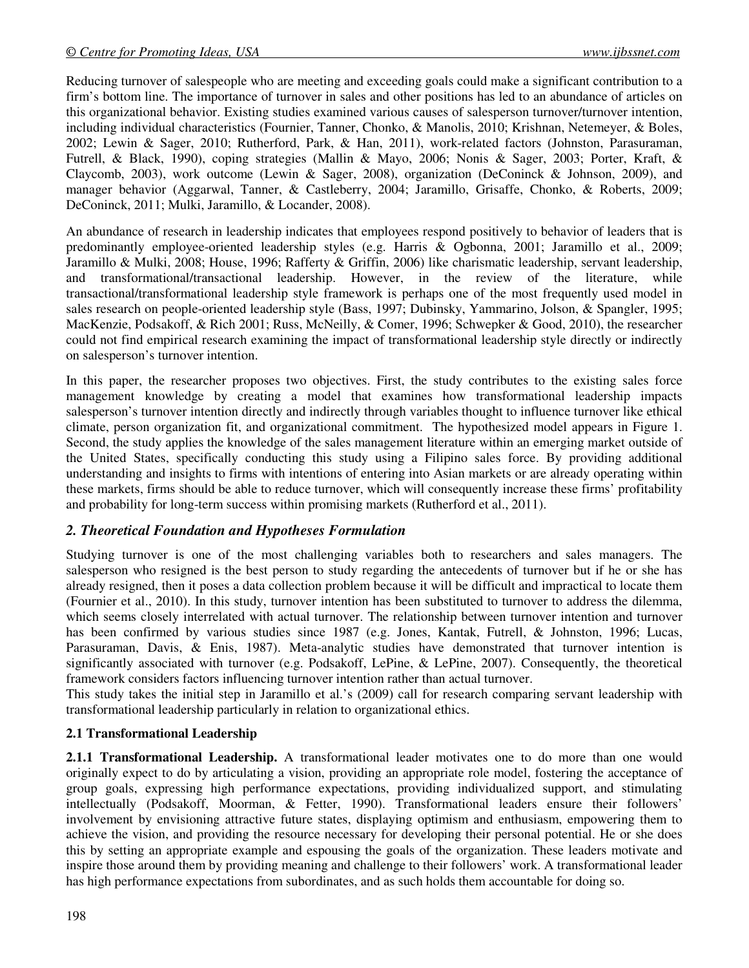Reducing turnover of salespeople who are meeting and exceeding goals could make a significant contribution to a firm's bottom line. The importance of turnover in sales and other positions has led to an abundance of articles on this organizational behavior. Existing studies examined various causes of salesperson turnover/turnover intention, including individual characteristics (Fournier, Tanner, Chonko, & Manolis, 2010; Krishnan, Netemeyer, & Boles, 2002; Lewin & Sager, 2010; Rutherford, Park, & Han, 2011), work-related factors (Johnston, Parasuraman, Futrell, & Black, 1990), coping strategies (Mallin & Mayo, 2006; Nonis & Sager, 2003; Porter, Kraft, & Claycomb, 2003), work outcome (Lewin & Sager, 2008), organization (DeConinck & Johnson, 2009), and manager behavior (Aggarwal, Tanner, & Castleberry, 2004; Jaramillo, Grisaffe, Chonko, & Roberts, 2009; DeConinck, 2011; Mulki, Jaramillo, & Locander, 2008).

An abundance of research in leadership indicates that employees respond positively to behavior of leaders that is predominantly employee-oriented leadership styles (e.g. Harris & Ogbonna, 2001; Jaramillo et al., 2009; Jaramillo & Mulki, 2008; House, 1996; Rafferty & Griffin, 2006) like charismatic leadership, servant leadership, and transformational/transactional leadership. However, in the review of the literature, while transactional/transformational leadership style framework is perhaps one of the most frequently used model in sales research on people-oriented leadership style (Bass, 1997; Dubinsky, Yammarino, Jolson, & Spangler, 1995; MacKenzie, Podsakoff, & Rich 2001; Russ, McNeilly, & Comer, 1996; Schwepker & Good, 2010), the researcher could not find empirical research examining the impact of transformational leadership style directly or indirectly on salesperson's turnover intention.

In this paper, the researcher proposes two objectives. First, the study contributes to the existing sales force management knowledge by creating a model that examines how transformational leadership impacts salesperson's turnover intention directly and indirectly through variables thought to influence turnover like ethical climate, person organization fit, and organizational commitment. The hypothesized model appears in Figure 1. Second, the study applies the knowledge of the sales management literature within an emerging market outside of the United States, specifically conducting this study using a Filipino sales force. By providing additional understanding and insights to firms with intentions of entering into Asian markets or are already operating within these markets, firms should be able to reduce turnover, which will consequently increase these firms' profitability and probability for long-term success within promising markets (Rutherford et al., 2011).

# *2. Theoretical Foundation and Hypotheses Formulation*

Studying turnover is one of the most challenging variables both to researchers and sales managers. The salesperson who resigned is the best person to study regarding the antecedents of turnover but if he or she has already resigned, then it poses a data collection problem because it will be difficult and impractical to locate them (Fournier et al., 2010). In this study, turnover intention has been substituted to turnover to address the dilemma, which seems closely interrelated with actual turnover. The relationship between turnover intention and turnover has been confirmed by various studies since 1987 (e.g. Jones, Kantak, Futrell, & Johnston, 1996; Lucas, Parasuraman, Davis, & Enis, 1987). Meta-analytic studies have demonstrated that turnover intention is significantly associated with turnover (e.g. Podsakoff, LePine, & LePine, 2007). Consequently, the theoretical framework considers factors influencing turnover intention rather than actual turnover.

This study takes the initial step in Jaramillo et al.'s (2009) call for research comparing servant leadership with transformational leadership particularly in relation to organizational ethics.

## **2.1 Transformational Leadership**

**2.1.1 Transformational Leadership.** A transformational leader motivates one to do more than one would originally expect to do by articulating a vision, providing an appropriate role model, fostering the acceptance of group goals, expressing high performance expectations, providing individualized support, and stimulating intellectually (Podsakoff, Moorman, & Fetter, 1990). Transformational leaders ensure their followers' involvement by envisioning attractive future states, displaying optimism and enthusiasm, empowering them to achieve the vision, and providing the resource necessary for developing their personal potential. He or she does this by setting an appropriate example and espousing the goals of the organization. These leaders motivate and inspire those around them by providing meaning and challenge to their followers' work. A transformational leader has high performance expectations from subordinates, and as such holds them accountable for doing so.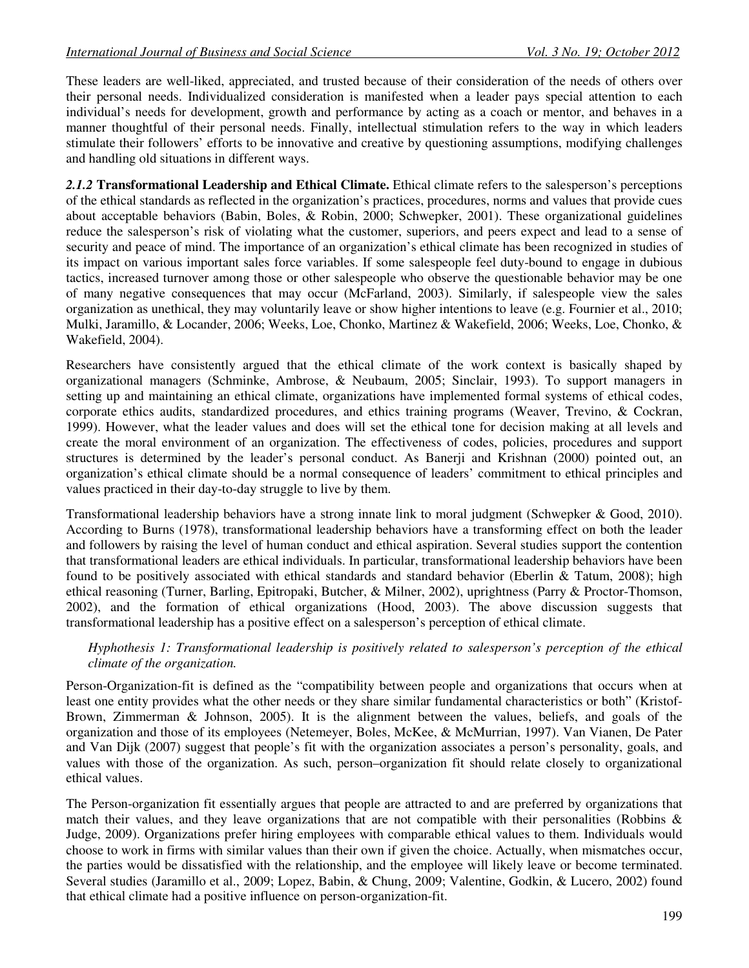These leaders are well-liked, appreciated, and trusted because of their consideration of the needs of others over their personal needs. Individualized consideration is manifested when a leader pays special attention to each individual's needs for development, growth and performance by acting as a coach or mentor, and behaves in a manner thoughtful of their personal needs. Finally, intellectual stimulation refers to the way in which leaders stimulate their followers' efforts to be innovative and creative by questioning assumptions, modifying challenges and handling old situations in different ways.

*2.1.2* **Transformational Leadership and Ethical Climate.** Ethical climate refers to the salesperson's perceptions of the ethical standards as reflected in the organization's practices, procedures, norms and values that provide cues about acceptable behaviors (Babin, Boles, & Robin, 2000; Schwepker, 2001). These organizational guidelines reduce the salesperson's risk of violating what the customer, superiors, and peers expect and lead to a sense of security and peace of mind. The importance of an organization's ethical climate has been recognized in studies of its impact on various important sales force variables. If some salespeople feel duty-bound to engage in dubious tactics, increased turnover among those or other salespeople who observe the questionable behavior may be one of many negative consequences that may occur (McFarland, 2003). Similarly, if salespeople view the sales organization as unethical, they may voluntarily leave or show higher intentions to leave (e.g. Fournier et al., 2010; Mulki, Jaramillo, & Locander, 2006; Weeks, Loe, Chonko, Martinez & Wakefield, 2006; Weeks, Loe, Chonko, & Wakefield, 2004).

Researchers have consistently argued that the ethical climate of the work context is basically shaped by organizational managers (Schminke, Ambrose, & Neubaum, 2005; Sinclair, 1993). To support managers in setting up and maintaining an ethical climate, organizations have implemented formal systems of ethical codes, corporate ethics audits, standardized procedures, and ethics training programs (Weaver, Trevino, & Cockran, 1999). However, what the leader values and does will set the ethical tone for decision making at all levels and create the moral environment of an organization. The effectiveness of codes, policies, procedures and support structures is determined by the leader's personal conduct. As Banerji and Krishnan (2000) pointed out, an organization's ethical climate should be a normal consequence of leaders' commitment to ethical principles and values practiced in their day-to-day struggle to live by them.

Transformational leadership behaviors have a strong innate link to moral judgment (Schwepker & Good, 2010). According to Burns (1978), transformational leadership behaviors have a transforming effect on both the leader and followers by raising the level of human conduct and ethical aspiration. Several studies support the contention that transformational leaders are ethical individuals. In particular, transformational leadership behaviors have been found to be positively associated with ethical standards and standard behavior (Eberlin & Tatum, 2008); high ethical reasoning (Turner, Barling, Epitropaki, Butcher, & Milner, 2002), uprightness (Parry & Proctor-Thomson, 2002), and the formation of ethical organizations (Hood, 2003). The above discussion suggests that transformational leadership has a positive effect on a salesperson's perception of ethical climate.

## *Hyphothesis 1: Transformational leadership is positively related to salesperson's perception of the ethical climate of the organization.*

Person-Organization-fit is defined as the "compatibility between people and organizations that occurs when at least one entity provides what the other needs or they share similar fundamental characteristics or both" (Kristof-Brown, Zimmerman & Johnson, 2005). It is the alignment between the values, beliefs, and goals of the organization and those of its employees (Netemeyer, Boles, McKee, & McMurrian, 1997). Van Vianen, De Pater and Van Dijk (2007) suggest that people's fit with the organization associates a person's personality, goals, and values with those of the organization. As such, person–organization fit should relate closely to organizational ethical values.

The Person-organization fit essentially argues that people are attracted to and are preferred by organizations that match their values, and they leave organizations that are not compatible with their personalities (Robbins  $\&$ Judge, 2009). Organizations prefer hiring employees with comparable ethical values to them. Individuals would choose to work in firms with similar values than their own if given the choice. Actually, when mismatches occur, the parties would be dissatisfied with the relationship, and the employee will likely leave or become terminated. Several studies (Jaramillo et al., 2009; Lopez, Babin, & Chung, 2009; Valentine, Godkin, & Lucero, 2002) found that ethical climate had a positive influence on person-organization-fit.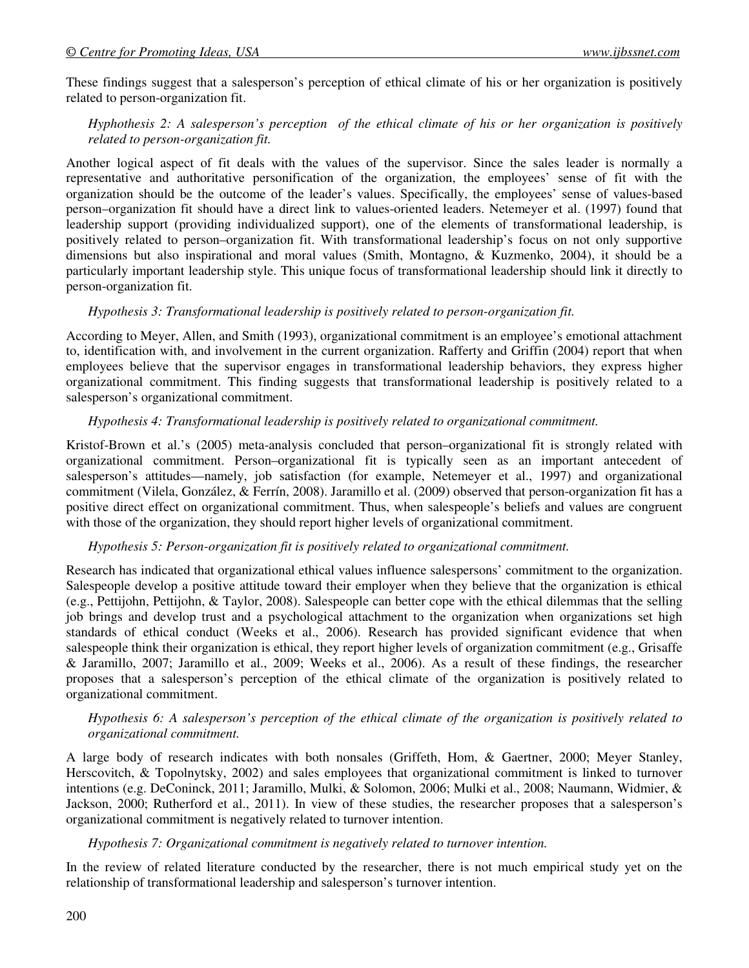These findings suggest that a salesperson's perception of ethical climate of his or her organization is positively related to person-organization fit.

## *Hyphothesis 2: A salesperson's perception of the ethical climate of his or her organization is positively related to person-organization fit.*

Another logical aspect of fit deals with the values of the supervisor. Since the sales leader is normally a representative and authoritative personification of the organization, the employees' sense of fit with the organization should be the outcome of the leader's values. Specifically, the employees' sense of values-based person–organization fit should have a direct link to values-oriented leaders. Netemeyer et al. (1997) found that leadership support (providing individualized support), one of the elements of transformational leadership, is positively related to person–organization fit. With transformational leadership's focus on not only supportive dimensions but also inspirational and moral values (Smith, Montagno, & Kuzmenko, 2004), it should be a particularly important leadership style. This unique focus of transformational leadership should link it directly to person-organization fit.

#### *Hypothesis 3: Transformational leadership is positively related to person-organization fit.*

According to Meyer, Allen, and Smith (1993), organizational commitment is an employee's emotional attachment to, identification with, and involvement in the current organization. Rafferty and Griffin (2004) report that when employees believe that the supervisor engages in transformational leadership behaviors, they express higher organizational commitment. This finding suggests that transformational leadership is positively related to a salesperson's organizational commitment.

## *Hypothesis 4: Transformational leadership is positively related to organizational commitment.*

Kristof-Brown et al.'s (2005) meta-analysis concluded that person–organizational fit is strongly related with organizational commitment. Person–organizational fit is typically seen as an important antecedent of salesperson's attitudes—namely, job satisfaction (for example, Netemeyer et al., 1997) and organizational commitment (Vilela, González, & Ferrín, 2008). Jaramillo et al. (2009) observed that person-organization fit has a positive direct effect on organizational commitment. Thus, when salespeople's beliefs and values are congruent with those of the organization, they should report higher levels of organizational commitment.

## *Hypothesis 5: Person-organization fit is positively related to organizational commitment.*

Research has indicated that organizational ethical values influence salespersons' commitment to the organization. Salespeople develop a positive attitude toward their employer when they believe that the organization is ethical (e.g., Pettijohn, Pettijohn, & Taylor, 2008). Salespeople can better cope with the ethical dilemmas that the selling job brings and develop trust and a psychological attachment to the organization when organizations set high standards of ethical conduct (Weeks et al., 2006). Research has provided significant evidence that when salespeople think their organization is ethical, they report higher levels of organization commitment (e.g., Grisaffe & Jaramillo, 2007; Jaramillo et al., 2009; Weeks et al., 2006). As a result of these findings, the researcher proposes that a salesperson's perception of the ethical climate of the organization is positively related to organizational commitment.

#### *Hypothesis 6: A salesperson's perception of the ethical climate of the organization is positively related to organizational commitment.*

A large body of research indicates with both nonsales (Griffeth, Hom, & Gaertner, 2000; Meyer Stanley, Herscovitch, & Topolnytsky, 2002) and sales employees that organizational commitment is linked to turnover intentions (e.g. DeConinck, 2011; Jaramillo, Mulki, & Solomon, 2006; Mulki et al., 2008; Naumann, Widmier, & Jackson, 2000; Rutherford et al., 2011). In view of these studies, the researcher proposes that a salesperson's organizational commitment is negatively related to turnover intention.

#### *Hypothesis 7: Organizational commitment is negatively related to turnover intention.*

In the review of related literature conducted by the researcher, there is not much empirical study yet on the relationship of transformational leadership and salesperson's turnover intention.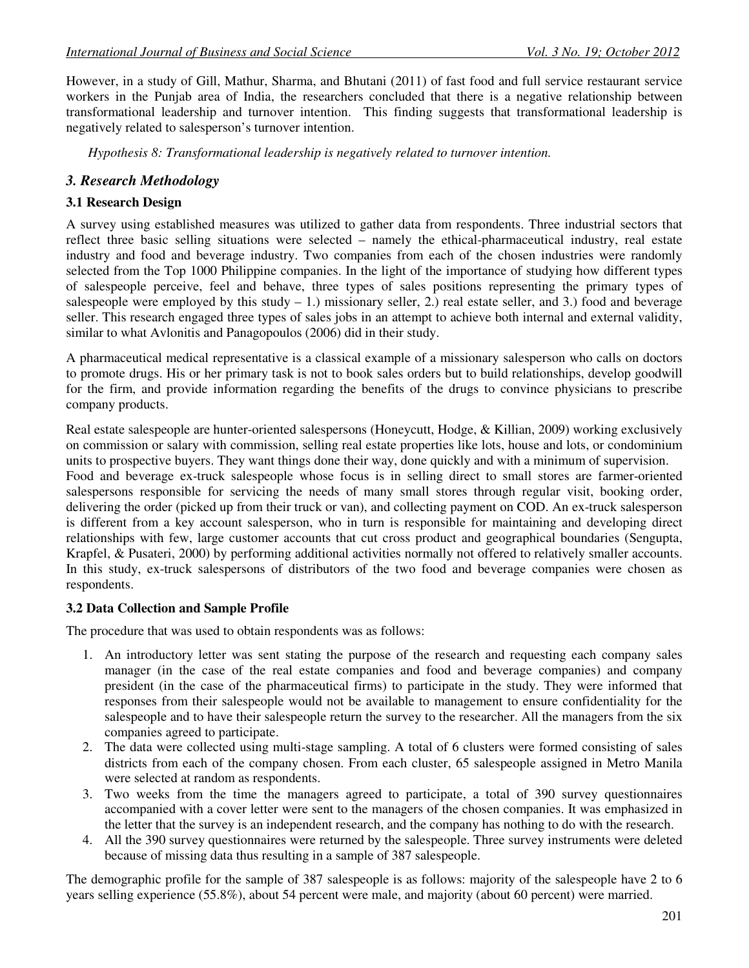However, in a study of Gill, Mathur, Sharma, and Bhutani (2011) of fast food and full service restaurant service workers in the Punjab area of India, the researchers concluded that there is a negative relationship between transformational leadership and turnover intention. This finding suggests that transformational leadership is negatively related to salesperson's turnover intention.

*Hypothesis 8: Transformational leadership is negatively related to turnover intention.* 

## *3. Research Methodology*

## **3.1 Research Design**

A survey using established measures was utilized to gather data from respondents. Three industrial sectors that reflect three basic selling situations were selected – namely the ethical-pharmaceutical industry, real estate industry and food and beverage industry. Two companies from each of the chosen industries were randomly selected from the Top 1000 Philippine companies. In the light of the importance of studying how different types of salespeople perceive, feel and behave, three types of sales positions representing the primary types of salespeople were employed by this study  $-1$ .) missionary seller, 2.) real estate seller, and 3.) food and beverage seller. This research engaged three types of sales jobs in an attempt to achieve both internal and external validity, similar to what Avlonitis and Panagopoulos (2006) did in their study.

A pharmaceutical medical representative is a classical example of a missionary salesperson who calls on doctors to promote drugs. His or her primary task is not to book sales orders but to build relationships, develop goodwill for the firm, and provide information regarding the benefits of the drugs to convince physicians to prescribe company products.

Real estate salespeople are hunter-oriented salespersons (Honeycutt, Hodge, & Killian, 2009) working exclusively on commission or salary with commission, selling real estate properties like lots, house and lots, or condominium units to prospective buyers. They want things done their way, done quickly and with a minimum of supervision. Food and beverage ex-truck salespeople whose focus is in selling direct to small stores are farmer-oriented salespersons responsible for servicing the needs of many small stores through regular visit, booking order, delivering the order (picked up from their truck or van), and collecting payment on COD. An ex-truck salesperson is different from a key account salesperson, who in turn is responsible for maintaining and developing direct relationships with few, large customer accounts that cut cross product and geographical boundaries (Sengupta, Krapfel, & Pusateri, 2000) by performing additional activities normally not offered to relatively smaller accounts. In this study, ex-truck salespersons of distributors of the two food and beverage companies were chosen as respondents.

#### **3.2 Data Collection and Sample Profile**

The procedure that was used to obtain respondents was as follows:

- 1. An introductory letter was sent stating the purpose of the research and requesting each company sales manager (in the case of the real estate companies and food and beverage companies) and company president (in the case of the pharmaceutical firms) to participate in the study. They were informed that responses from their salespeople would not be available to management to ensure confidentiality for the salespeople and to have their salespeople return the survey to the researcher. All the managers from the six companies agreed to participate.
- 2. The data were collected using multi-stage sampling. A total of 6 clusters were formed consisting of sales districts from each of the company chosen. From each cluster, 65 salespeople assigned in Metro Manila were selected at random as respondents.
- 3. Two weeks from the time the managers agreed to participate, a total of 390 survey questionnaires accompanied with a cover letter were sent to the managers of the chosen companies. It was emphasized in the letter that the survey is an independent research, and the company has nothing to do with the research.
- 4. All the 390 survey questionnaires were returned by the salespeople. Three survey instruments were deleted because of missing data thus resulting in a sample of 387 salespeople.

The demographic profile for the sample of 387 salespeople is as follows: majority of the salespeople have 2 to 6 years selling experience (55.8%), about 54 percent were male, and majority (about 60 percent) were married.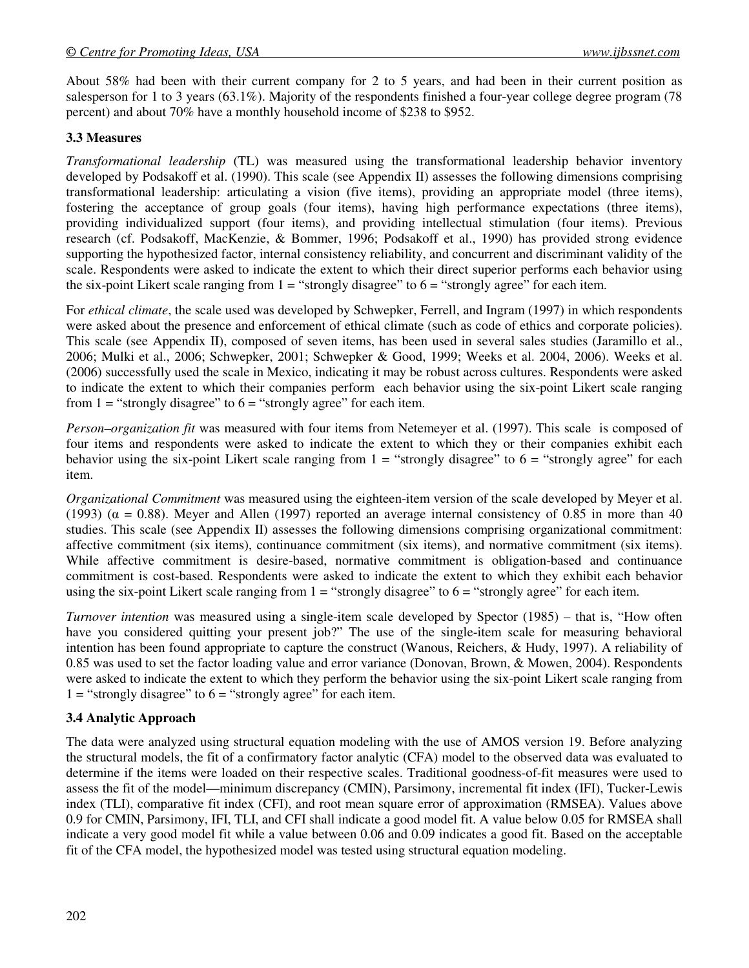About 58% had been with their current company for 2 to 5 years, and had been in their current position as salesperson for 1 to 3 years (63.1%). Majority of the respondents finished a four-year college degree program (78 percent) and about 70% have a monthly household income of \$238 to \$952.

## **3.3 Measures**

*Transformational leadership* (TL) was measured using the transformational leadership behavior inventory developed by Podsakoff et al. (1990). This scale (see Appendix II) assesses the following dimensions comprising transformational leadership: articulating a vision (five items), providing an appropriate model (three items), fostering the acceptance of group goals (four items), having high performance expectations (three items), providing individualized support (four items), and providing intellectual stimulation (four items). Previous research (cf. Podsakoff, MacKenzie, & Bommer, 1996; Podsakoff et al., 1990) has provided strong evidence supporting the hypothesized factor, internal consistency reliability, and concurrent and discriminant validity of the scale. Respondents were asked to indicate the extent to which their direct superior performs each behavior using the six-point Likert scale ranging from  $1 =$  "strongly disagree" to  $6 =$  "strongly agree" for each item.

For *ethical climate*, the scale used was developed by Schwepker, Ferrell, and Ingram (1997) in which respondents were asked about the presence and enforcement of ethical climate (such as code of ethics and corporate policies). This scale (see Appendix II), composed of seven items, has been used in several sales studies (Jaramillo et al., 2006; Mulki et al., 2006; Schwepker, 2001; Schwepker & Good, 1999; Weeks et al. 2004, 2006). Weeks et al. (2006) successfully used the scale in Mexico, indicating it may be robust across cultures. Respondents were asked to indicate the extent to which their companies perform each behavior using the six-point Likert scale ranging from  $1 =$  "strongly disagree" to  $6 =$  "strongly agree" for each item.

*Person–organization fit* was measured with four items from Netemeyer et al. (1997). This scale is composed of four items and respondents were asked to indicate the extent to which they or their companies exhibit each behavior using the six-point Likert scale ranging from  $1 =$  "strongly disagree" to  $6 =$  "strongly agree" for each item.

*Organizational Commitment* was measured using the eighteen-item version of the scale developed by Meyer et al. (1993) ( $\alpha = 0.88$ ). Meyer and Allen (1997) reported an average internal consistency of 0.85 in more than 40 studies. This scale (see Appendix II) assesses the following dimensions comprising organizational commitment: affective commitment (six items), continuance commitment (six items), and normative commitment (six items). While affective commitment is desire-based, normative commitment is obligation-based and continuance commitment is cost-based. Respondents were asked to indicate the extent to which they exhibit each behavior using the six-point Likert scale ranging from  $1 =$  "strongly disagree" to  $6 =$  "strongly agree" for each item.

*Turnover intention* was measured using a single-item scale developed by Spector (1985) – that is, "How often have you considered quitting your present job?" The use of the single-item scale for measuring behavioral intention has been found appropriate to capture the construct (Wanous, Reichers, & Hudy, 1997). A reliability of 0.85 was used to set the factor loading value and error variance (Donovan, Brown, & Mowen, 2004). Respondents were asked to indicate the extent to which they perform the behavior using the six-point Likert scale ranging from  $1 =$  "strongly disagree" to  $6 =$  "strongly agree" for each item.

#### **3.4 Analytic Approach**

The data were analyzed using structural equation modeling with the use of AMOS version 19. Before analyzing the structural models, the fit of a confirmatory factor analytic (CFA) model to the observed data was evaluated to determine if the items were loaded on their respective scales. Traditional goodness-of-fit measures were used to assess the fit of the model—minimum discrepancy (CMIN), Parsimony, incremental fit index (IFI), Tucker-Lewis index (TLI), comparative fit index (CFI), and root mean square error of approximation (RMSEA). Values above 0.9 for CMIN, Parsimony, IFI, TLI, and CFI shall indicate a good model fit. A value below 0.05 for RMSEA shall indicate a very good model fit while a value between 0.06 and 0.09 indicates a good fit. Based on the acceptable fit of the CFA model, the hypothesized model was tested using structural equation modeling.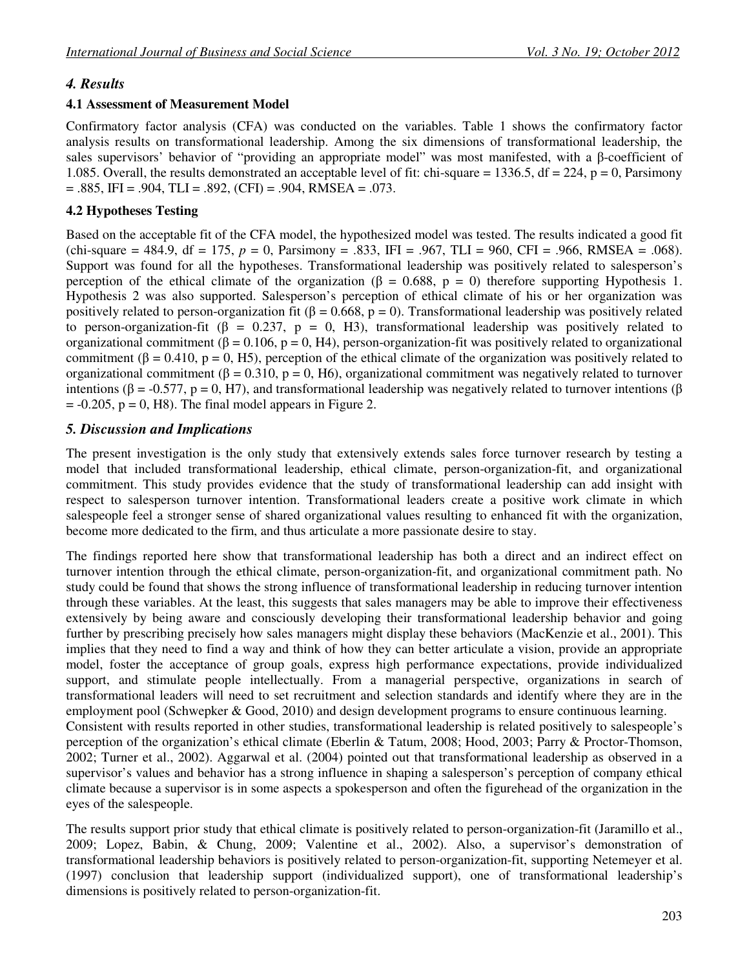## *4. Results*

## **4.1 Assessment of Measurement Model**

Confirmatory factor analysis (CFA) was conducted on the variables. Table 1 shows the confirmatory factor analysis results on transformational leadership. Among the six dimensions of transformational leadership, the sales supervisors' behavior of "providing an appropriate model" was most manifested, with a β-coefficient of 1.085. Overall, the results demonstrated an acceptable level of fit: chi-square = 1336.5, df = 224, p = 0, Parsimony  $= .885$ , IFI  $= .904$ , TLI  $= .892$ , (CFI)  $= .904$ , RMSEA  $= .073$ .

## **4.2 Hypotheses Testing**

Based on the acceptable fit of the CFA model, the hypothesized model was tested. The results indicated a good fit (chi-square = 484.9, df = 175,  $p = 0$ , Parsimony = .833, IFI = .967, TLI = 960, CFI = .966, RMSEA = .068). Support was found for all the hypotheses. Transformational leadership was positively related to salesperson's perception of the ethical climate of the organization ( $\beta = 0.688$ ,  $p = 0$ ) therefore supporting Hypothesis 1. Hypothesis 2 was also supported. Salesperson's perception of ethical climate of his or her organization was positively related to person-organization fit ( $\beta = 0.668$ ,  $p = 0$ ). Transformational leadership was positively related to person-organization-fit ( $\beta = 0.237$ ,  $p = 0$ , H3), transformational leadership was positively related to organizational commitment ( $\beta$  = 0.106, p = 0, H4), person-organization-fit was positively related to organizational commitment ( $\beta = 0.410$ ,  $p = 0$ , H5), perception of the ethical climate of the organization was positively related to organizational commitment ( $\beta$  = 0.310, p = 0, H6), organizational commitment was negatively related to turnover intentions (β = -0.577, p = 0, H7), and transformational leadership was negatively related to turnover intentions (β  $= -0.205$ ,  $p = 0$ , H8). The final model appears in Figure 2.

## *5. Discussion and Implications*

The present investigation is the only study that extensively extends sales force turnover research by testing a model that included transformational leadership, ethical climate, person-organization-fit, and organizational commitment. This study provides evidence that the study of transformational leadership can add insight with respect to salesperson turnover intention. Transformational leaders create a positive work climate in which salespeople feel a stronger sense of shared organizational values resulting to enhanced fit with the organization, become more dedicated to the firm, and thus articulate a more passionate desire to stay.

The findings reported here show that transformational leadership has both a direct and an indirect effect on turnover intention through the ethical climate, person-organization-fit, and organizational commitment path. No study could be found that shows the strong influence of transformational leadership in reducing turnover intention through these variables. At the least, this suggests that sales managers may be able to improve their effectiveness extensively by being aware and consciously developing their transformational leadership behavior and going further by prescribing precisely how sales managers might display these behaviors (MacKenzie et al., 2001). This implies that they need to find a way and think of how they can better articulate a vision, provide an appropriate model, foster the acceptance of group goals, express high performance expectations, provide individualized support, and stimulate people intellectually. From a managerial perspective, organizations in search of transformational leaders will need to set recruitment and selection standards and identify where they are in the employment pool (Schwepker & Good, 2010) and design development programs to ensure continuous learning. Consistent with results reported in other studies, transformational leadership is related positively to salespeople's perception of the organization's ethical climate (Eberlin & Tatum, 2008; Hood, 2003; Parry & Proctor-Thomson, 2002; Turner et al., 2002). Aggarwal et al. (2004) pointed out that transformational leadership as observed in a supervisor's values and behavior has a strong influence in shaping a salesperson's perception of company ethical climate because a supervisor is in some aspects a spokesperson and often the figurehead of the organization in the eyes of the salespeople.

The results support prior study that ethical climate is positively related to person-organization-fit (Jaramillo et al., 2009; Lopez, Babin, & Chung, 2009; Valentine et al., 2002). Also, a supervisor's demonstration of transformational leadership behaviors is positively related to person-organization-fit, supporting Netemeyer et al. (1997) conclusion that leadership support (individualized support), one of transformational leadership's dimensions is positively related to person-organization-fit.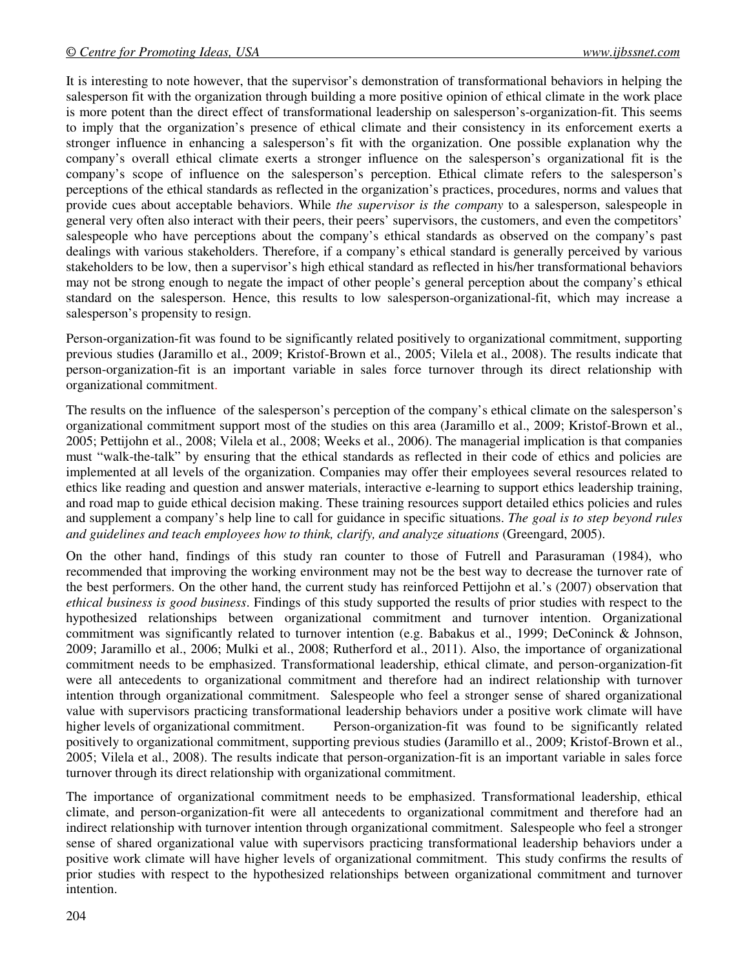It is interesting to note however, that the supervisor's demonstration of transformational behaviors in helping the salesperson fit with the organization through building a more positive opinion of ethical climate in the work place is more potent than the direct effect of transformational leadership on salesperson's-organization-fit. This seems to imply that the organization's presence of ethical climate and their consistency in its enforcement exerts a stronger influence in enhancing a salesperson's fit with the organization. One possible explanation why the company's overall ethical climate exerts a stronger influence on the salesperson's organizational fit is the company's scope of influence on the salesperson's perception. Ethical climate refers to the salesperson's perceptions of the ethical standards as reflected in the organization's practices, procedures, norms and values that provide cues about acceptable behaviors. While *the supervisor is the company* to a salesperson, salespeople in general very often also interact with their peers, their peers' supervisors, the customers, and even the competitors' salespeople who have perceptions about the company's ethical standards as observed on the company's past dealings with various stakeholders. Therefore, if a company's ethical standard is generally perceived by various stakeholders to be low, then a supervisor's high ethical standard as reflected in his/her transformational behaviors may not be strong enough to negate the impact of other people's general perception about the company's ethical standard on the salesperson. Hence, this results to low salesperson-organizational-fit, which may increase a salesperson's propensity to resign.

Person-organization-fit was found to be significantly related positively to organizational commitment, supporting previous studies **(**Jaramillo et al., 2009; Kristof-Brown et al., 2005; Vilela et al., 2008). The results indicate that person-organization-fit is an important variable in sales force turnover through its direct relationship with organizational commitment.

The results on the influence of the salesperson's perception of the company's ethical climate on the salesperson's organizational commitment support most of the studies on this area (Jaramillo et al., 2009; Kristof-Brown et al., 2005; Pettijohn et al., 2008; Vilela et al., 2008; Weeks et al., 2006). The managerial implication is that companies must "walk-the-talk" by ensuring that the ethical standards as reflected in their code of ethics and policies are implemented at all levels of the organization. Companies may offer their employees several resources related to ethics like reading and question and answer materials, interactive e-learning to support ethics leadership training, and road map to guide ethical decision making. These training resources support detailed ethics policies and rules and supplement a company's help line to call for guidance in specific situations. *The goal is to step beyond rules and guidelines and teach employees how to think, clarify, and analyze situations* (Greengard, 2005).

On the other hand, findings of this study ran counter to those of Futrell and Parasuraman (1984), who recommended that improving the working environment may not be the best way to decrease the turnover rate of the best performers. On the other hand, the current study has reinforced Pettijohn et al.'s (2007) observation that *ethical business is good business*. Findings of this study supported the results of prior studies with respect to the hypothesized relationships between organizational commitment and turnover intention. Organizational commitment was significantly related to turnover intention (e.g. Babakus et al., 1999; DeConinck & Johnson, 2009; Jaramillo et al., 2006; Mulki et al., 2008; Rutherford et al., 2011). Also, the importance of organizational commitment needs to be emphasized. Transformational leadership, ethical climate, and person-organization-fit were all antecedents to organizational commitment and therefore had an indirect relationship with turnover intention through organizational commitment. Salespeople who feel a stronger sense of shared organizational value with supervisors practicing transformational leadership behaviors under a positive work climate will have higher levels of organizational commitment. Person-organization-fit was found to be significantly related positively to organizational commitment, supporting previous studies **(**Jaramillo et al., 2009; Kristof-Brown et al., 2005; Vilela et al., 2008). The results indicate that person-organization-fit is an important variable in sales force turnover through its direct relationship with organizational commitment.

The importance of organizational commitment needs to be emphasized. Transformational leadership, ethical climate, and person-organization-fit were all antecedents to organizational commitment and therefore had an indirect relationship with turnover intention through organizational commitment. Salespeople who feel a stronger sense of shared organizational value with supervisors practicing transformational leadership behaviors under a positive work climate will have higher levels of organizational commitment. This study confirms the results of prior studies with respect to the hypothesized relationships between organizational commitment and turnover intention.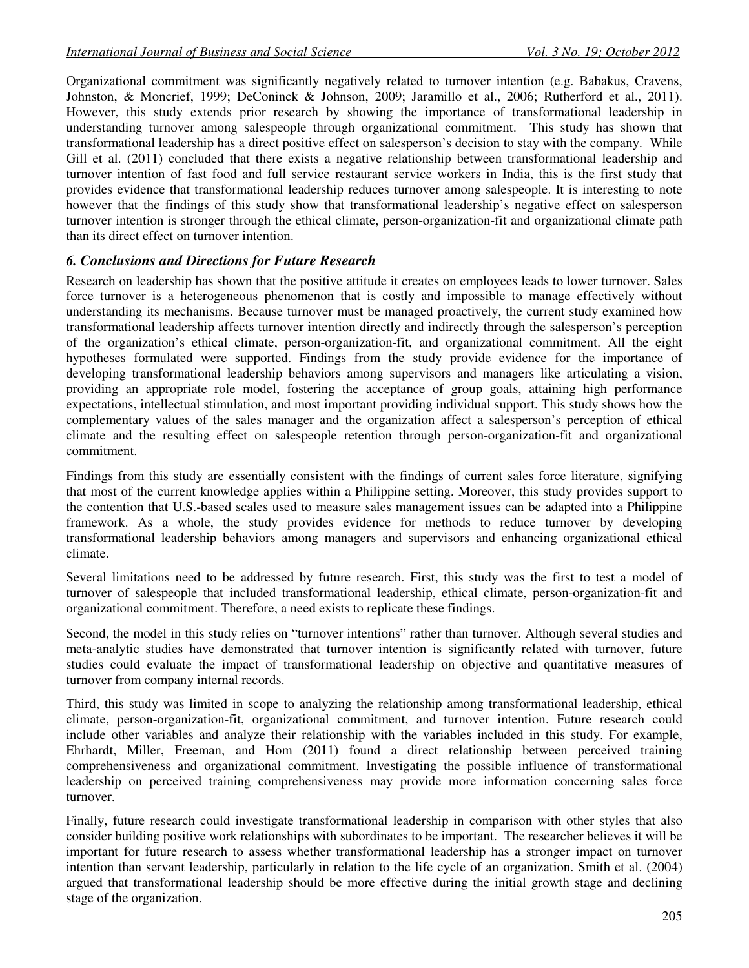Organizational commitment was significantly negatively related to turnover intention (e.g. Babakus, Cravens, Johnston, & Moncrief, 1999; DeConinck & Johnson, 2009; Jaramillo et al., 2006; Rutherford et al., 2011). However, this study extends prior research by showing the importance of transformational leadership in understanding turnover among salespeople through organizational commitment. This study has shown that transformational leadership has a direct positive effect on salesperson's decision to stay with the company. While Gill et al. (2011) concluded that there exists a negative relationship between transformational leadership and turnover intention of fast food and full service restaurant service workers in India, this is the first study that provides evidence that transformational leadership reduces turnover among salespeople. It is interesting to note however that the findings of this study show that transformational leadership's negative effect on salesperson turnover intention is stronger through the ethical climate, person-organization-fit and organizational climate path than its direct effect on turnover intention.

## *6. Conclusions and Directions for Future Research*

Research on leadership has shown that the positive attitude it creates on employees leads to lower turnover. Sales force turnover is a heterogeneous phenomenon that is costly and impossible to manage effectively without understanding its mechanisms. Because turnover must be managed proactively, the current study examined how transformational leadership affects turnover intention directly and indirectly through the salesperson's perception of the organization's ethical climate, person-organization-fit, and organizational commitment. All the eight hypotheses formulated were supported. Findings from the study provide evidence for the importance of developing transformational leadership behaviors among supervisors and managers like articulating a vision, providing an appropriate role model, fostering the acceptance of group goals, attaining high performance expectations, intellectual stimulation, and most important providing individual support. This study shows how the complementary values of the sales manager and the organization affect a salesperson's perception of ethical climate and the resulting effect on salespeople retention through person-organization-fit and organizational commitment.

Findings from this study are essentially consistent with the findings of current sales force literature, signifying that most of the current knowledge applies within a Philippine setting. Moreover, this study provides support to the contention that U.S.-based scales used to measure sales management issues can be adapted into a Philippine framework. As a whole, the study provides evidence for methods to reduce turnover by developing transformational leadership behaviors among managers and supervisors and enhancing organizational ethical climate.

Several limitations need to be addressed by future research. First, this study was the first to test a model of turnover of salespeople that included transformational leadership, ethical climate, person-organization-fit and organizational commitment. Therefore, a need exists to replicate these findings.

Second, the model in this study relies on "turnover intentions" rather than turnover. Although several studies and meta-analytic studies have demonstrated that turnover intention is significantly related with turnover, future studies could evaluate the impact of transformational leadership on objective and quantitative measures of turnover from company internal records.

Third, this study was limited in scope to analyzing the relationship among transformational leadership, ethical climate, person-organization-fit, organizational commitment, and turnover intention. Future research could include other variables and analyze their relationship with the variables included in this study. For example, Ehrhardt, Miller, Freeman, and Hom (2011) found a direct relationship between perceived training comprehensiveness and organizational commitment. Investigating the possible influence of transformational leadership on perceived training comprehensiveness may provide more information concerning sales force turnover.

Finally, future research could investigate transformational leadership in comparison with other styles that also consider building positive work relationships with subordinates to be important. The researcher believes it will be important for future research to assess whether transformational leadership has a stronger impact on turnover intention than servant leadership, particularly in relation to the life cycle of an organization. Smith et al. (2004) argued that transformational leadership should be more effective during the initial growth stage and declining stage of the organization.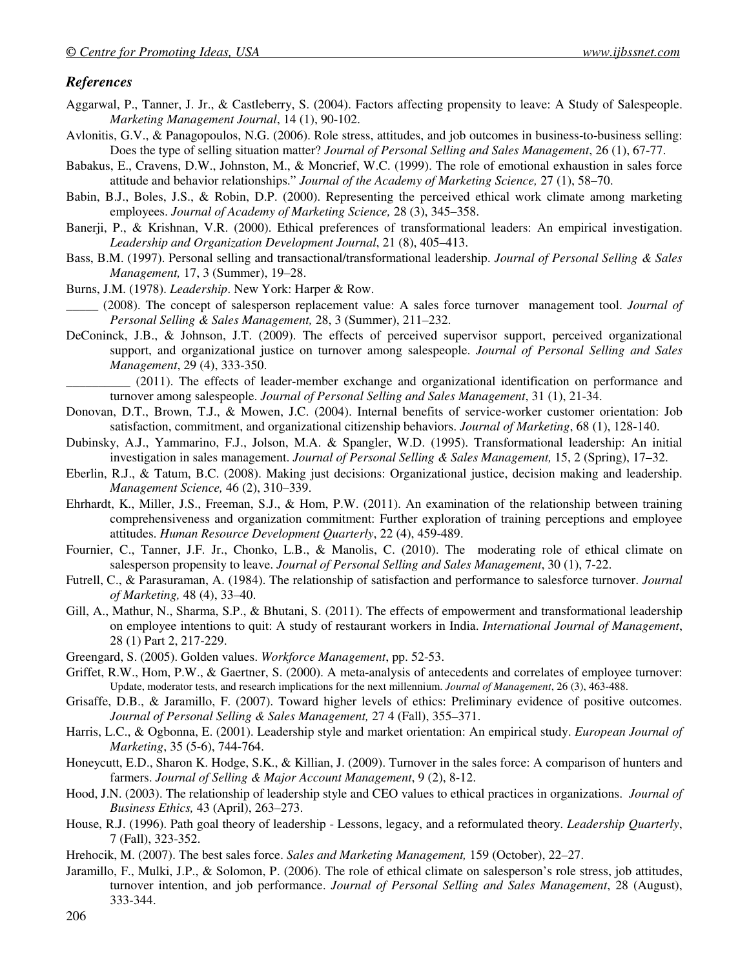#### *References*

- Aggarwal, P., Tanner, J. Jr., & Castleberry, S. (2004). Factors affecting propensity to leave: A Study of Salespeople. *Marketing Management Journal*, 14 (1), 90-102.
- Avlonitis, G.V., & Panagopoulos, N.G. (2006). Role stress, attitudes, and job outcomes in business-to-business selling: Does the type of selling situation matter? *Journal of Personal Selling and Sales Management*, 26 (1), 67-77.
- Babakus, E., Cravens, D.W., Johnston, M., & Moncrief, W.C. (1999). The role of emotional exhaustion in sales force attitude and behavior relationships." *Journal of the Academy of Marketing Science,* 27 (1), 58–70.
- Babin, B.J., Boles, J.S., & Robin, D.P. (2000). Representing the perceived ethical work climate among marketing employees. *Journal of Academy of Marketing Science,* 28 (3), 345–358.
- Banerji, P., & Krishnan, V.R. (2000). Ethical preferences of transformational leaders: An empirical investigation. *Leadership and Organization Development Journal*, 21 (8), 405–413.
- Bass, B.M. (1997). Personal selling and transactional/transformational leadership. *Journal of Personal Selling & Sales Management,* 17, 3 (Summer), 19–28.
- Burns, J.M. (1978). *Leadership*. New York: Harper & Row.
- \_\_\_\_\_ (2008). The concept of salesperson replacement value: A sales force turnover management tool. *Journal of Personal Selling & Sales Management,* 28, 3 (Summer), 211–232.
- DeConinck, J.B., & Johnson, J.T. (2009). The effects of perceived supervisor support, perceived organizational support, and organizational justice on turnover among salespeople. *Journal of Personal Selling and Sales Management*, 29 (4), 333-350.

\_\_\_\_\_\_\_\_\_\_ (2011). The effects of leader-member exchange and organizational identification on performance and turnover among salespeople. *Journal of Personal Selling and Sales Management*, 31 (1), 21-34.

- Donovan, D.T., Brown, T.J., & Mowen, J.C. (2004). Internal benefits of service-worker customer orientation: Job satisfaction, commitment, and organizational citizenship behaviors. *Journal of Marketing*, 68 (1), 128-140.
- Dubinsky, A.J., Yammarino, F.J., Jolson, M.A. & Spangler, W.D. (1995). Transformational leadership: An initial investigation in sales management. *Journal of Personal Selling & Sales Management,* 15, 2 (Spring), 17–32.
- Eberlin, R.J., & Tatum, B.C. (2008). Making just decisions: Organizational justice, decision making and leadership. *Management Science,* 46 (2), 310–339.
- Ehrhardt, K., Miller, J.S., Freeman, S.J., & Hom, P.W. (2011). An examination of the relationship between training comprehensiveness and organization commitment: Further exploration of training perceptions and employee attitudes. *Human Resource Development Quarterly*, 22 (4), 459-489.
- Fournier, C., Tanner, J.F. Jr., Chonko, L.B., & Manolis, C. (2010). The moderating role of ethical climate on salesperson propensity to leave. *Journal of Personal Selling and Sales Management*, 30 (1), 7-22.
- Futrell, C., & Parasuraman, A. (1984). The relationship of satisfaction and performance to salesforce turnover. *Journal of Marketing,* 48 (4), 33–40.
- Gill, A., Mathur, N., Sharma, S.P., & Bhutani, S. (2011). The effects of empowerment and transformational leadership on employee intentions to quit: A study of restaurant workers in India. *International Journal of Management*, 28 (1) Part 2, 217-229.
- Greengard, S. (2005). Golden values. *Workforce Management*, pp. 52-53.
- Griffet, R.W., Hom, P.W., & Gaertner, S. (2000). A meta-analysis of antecedents and correlates of employee turnover: Update, moderator tests, and research implications for the next millennium. *Journal of Management*, 26 (3), 463-488.
- Grisaffe, D.B., & Jaramillo, F. (2007). Toward higher levels of ethics: Preliminary evidence of positive outcomes. *Journal of Personal Selling & Sales Management,* 27 4 (Fall), 355–371.
- Harris, L.C., & Ogbonna, E. (2001). Leadership style and market orientation: An empirical study. *European Journal of Marketing*, 35 (5-6), 744-764.
- Honeycutt, E.D., Sharon K. Hodge, S.K., & Killian, J. (2009). Turnover in the sales force: A comparison of hunters and farmers. *Journal of Selling & Major Account Management*, 9 (2), 8-12.
- Hood, J.N. (2003). The relationship of leadership style and CEO values to ethical practices in organizations. *Journal of Business Ethics,* 43 (April), 263–273.
- House, R.J. (1996). Path goal theory of leadership Lessons, legacy, and a reformulated theory. *Leadership Quarterly*, 7 (Fall), 323-352.
- Hrehocik, M. (2007). The best sales force. *Sales and Marketing Management,* 159 (October), 22–27.
- Jaramillo, F., Mulki, J.P., & Solomon, P. (2006). The role of ethical climate on salesperson's role stress, job attitudes, turnover intention, and job performance. *Journal of Personal Selling and Sales Management*, 28 (August), 333-344.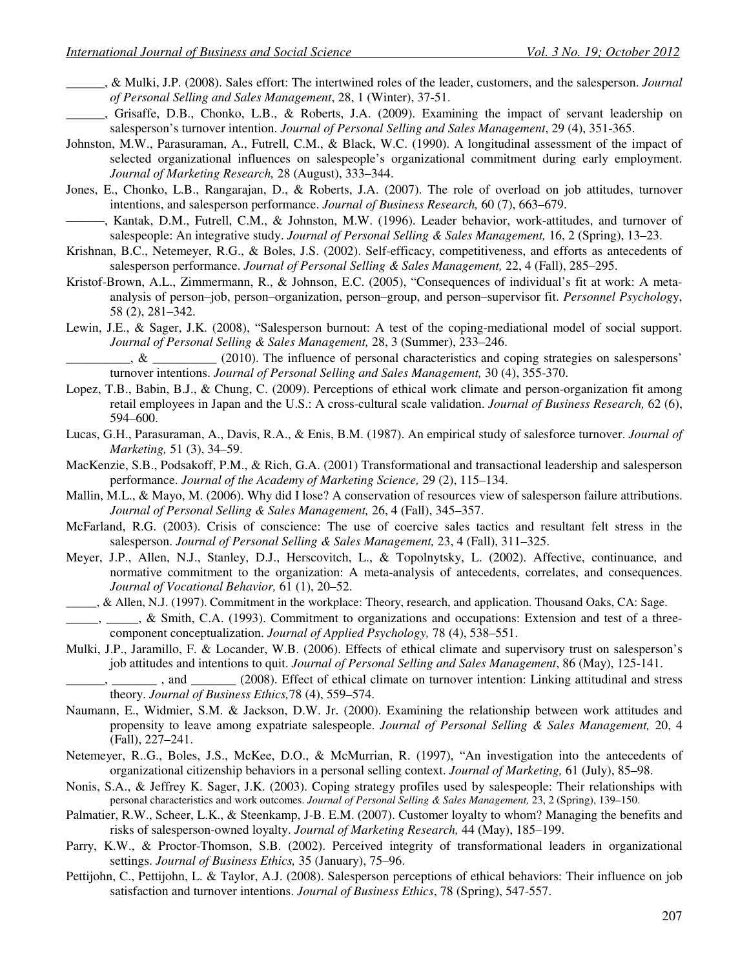- \_\_\_\_\_\_, & Mulki, J.P. (2008). Sales effort: The intertwined roles of the leader, customers, and the salesperson. *Journal of Personal Selling and Sales Management*, 28, 1 (Winter), 37-51.
- \_\_\_\_\_\_, Grisaffe, D.B., Chonko, L.B., & Roberts, J.A. (2009). Examining the impact of servant leadership on salesperson's turnover intention. *Journal of Personal Selling and Sales Management*, 29 (4), 351-365.
- Johnston, M.W., Parasuraman, A., Futrell, C.M., & Black, W.C. (1990). A longitudinal assessment of the impact of selected organizational influences on salespeople's organizational commitment during early employment. *Journal of Marketing Research,* 28 (August), 333–344.
- Jones, E., Chonko, L.B., Rangarajan, D., & Roberts, J.A. (2007). The role of overload on job attitudes, turnover intentions, and salesperson performance. *Journal of Business Research,* 60 (7), 663–679.
- ———, Kantak, D.M., Futrell, C.M., & Johnston, M.W. (1996). Leader behavior, work-attitudes, and turnover of salespeople: An integrative study. *Journal of Personal Selling & Sales Management,* 16, 2 (Spring), 13–23.
- Krishnan, B.C., Netemeyer, R.G., & Boles, J.S. (2002). Self-efficacy, competitiveness, and efforts as antecedents of salesperson performance. *Journal of Personal Selling & Sales Management,* 22, 4 (Fall), 285–295.
- Kristof-Brown, A.L., Zimmermann, R., & Johnson, E.C. (2005), "Consequences of individual's fit at work: A metaanalysis of person–job, person–organization, person–group, and person–supervisor fit. *Personnel Psycholog*y, 58 (2), 281–342.
- Lewin, J.E., & Sager, J.K. (2008), "Salesperson burnout: A test of the coping-mediational model of social support. *Journal of Personal Selling & Sales Management,* 28, 3 (Summer), 233–246.

 $\&$  (2010). The influence of personal characteristics and coping strategies on salespersons' turnover intentions. *Journal of Personal Selling and Sales Management,* 30 (4), 355-370.

- Lopez, T.B., Babin, B.J., & Chung, C. (2009). Perceptions of ethical work climate and person-organization fit among retail employees in Japan and the U.S.: A cross-cultural scale validation. *Journal of Business Research,* 62 (6), 594–600.
- Lucas, G.H., Parasuraman, A., Davis, R.A., & Enis, B.M. (1987). An empirical study of salesforce turnover. *Journal of Marketing,* 51 (3), 34–59.
- MacKenzie, S.B., Podsakoff, P.M., & Rich, G.A. (2001) Transformational and transactional leadership and salesperson performance. *Journal of the Academy of Marketing Science,* 29 (2), 115–134.
- Mallin, M.L., & Mayo, M. (2006). Why did I lose? A conservation of resources view of salesperson failure attributions. *Journal of Personal Selling & Sales Management,* 26, 4 (Fall), 345–357.
- McFarland, R.G. (2003). Crisis of conscience: The use of coercive sales tactics and resultant felt stress in the salesperson. *Journal of Personal Selling & Sales Management,* 23, 4 (Fall), 311–325.
- Meyer, J.P., Allen, N.J., Stanley, D.J., Herscovitch, L., & Topolnytsky, L. (2002). Affective, continuance, and normative commitment to the organization: A meta-analysis of antecedents, correlates, and consequences. *Journal of Vocational Behavior,* 61 (1), 20–52.
- \_\_\_\_\_, & Allen, N.J. (1997). Commitment in the workplace: Theory, research, and application. Thousand Oaks, CA: Sage. . & Smith, C.A. (1993). Commitment to organizations and occupations: Extension and test of a threecomponent conceptualization. *Journal of Applied Psychology,* 78 (4), 538–551.
- Mulki, J.P., Jaramillo, F. & Locander, W.B. (2006). Effects of ethical climate and supervisory trust on salesperson's job attitudes and intentions to quit. *Journal of Personal Selling and Sales Management*, 86 (May), 125-141.
	- and \_\_\_\_\_\_\_ (2008). Effect of ethical climate on turnover intention: Linking attitudinal and stress theory. *Journal of Business Ethics,*78 (4), 559–574.
- Naumann, E., Widmier, S.M. & Jackson, D.W. Jr. (2000). Examining the relationship between work attitudes and propensity to leave among expatriate salespeople. *Journal of Personal Selling & Sales Management,* 20, 4 (Fall), 227–241.
- Netemeyer, R..G., Boles, J.S., McKee, D.O., & McMurrian, R. (1997), "An investigation into the antecedents of organizational citizenship behaviors in a personal selling context. *Journal of Marketing,* 61 (July), 85–98.
- Nonis, S.A., & Jeffrey K. Sager, J.K. (2003). Coping strategy profiles used by salespeople: Their relationships with personal characteristics and work outcomes. *Journal of Personal Selling & Sales Management,* 23, 2 (Spring), 139–150.
- Palmatier, R.W., Scheer, L.K., & Steenkamp, J-B. E.M. (2007). Customer loyalty to whom? Managing the benefits and risks of salesperson-owned loyalty. *Journal of Marketing Research,* 44 (May), 185–199.
- Parry, K.W., & Proctor-Thomson, S.B. (2002). Perceived integrity of transformational leaders in organizational settings. *Journal of Business Ethics,* 35 (January), 75–96.
- Pettijohn, C., Pettijohn, L. & Taylor, A.J. (2008). Salesperson perceptions of ethical behaviors: Their influence on job satisfaction and turnover intentions. *Journal of Business Ethics*, 78 (Spring), 547-557.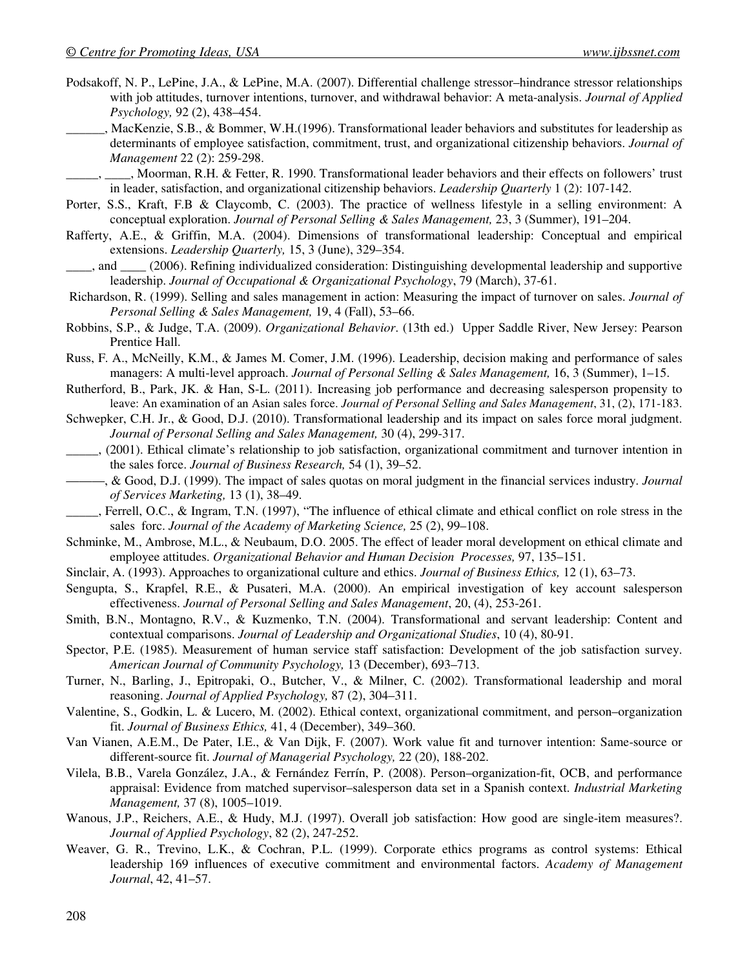- Podsakoff, N. P., LePine, J.A., & LePine, M.A. (2007). Differential challenge stressor–hindrance stressor relationships with job attitudes, turnover intentions, turnover, and withdrawal behavior: A meta-analysis. *Journal of Applied Psychology,* 92 (2), 438–454.
- \_\_\_\_\_\_, MacKenzie, S.B., & Bommer, W.H.(1996). Transformational leader behaviors and substitutes for leadership as determinants of employee satisfaction, commitment, trust, and organizational citizenship behaviors. *Journal of Management* 22 (2): 259-298.

\_\_\_\_\_, \_\_\_\_, Moorman, R.H. & Fetter, R. 1990. Transformational leader behaviors and their effects on followers' trust in leader, satisfaction, and organizational citizenship behaviors. *Leadership Quarterly* 1 (2): 107-142.

- Porter, S.S., Kraft, F.B & Claycomb, C. (2003). The practice of wellness lifestyle in a selling environment: A conceptual exploration. *Journal of Personal Selling & Sales Management,* 23, 3 (Summer), 191–204.
- Rafferty, A.E., & Griffin, M.A. (2004). Dimensions of transformational leadership: Conceptual and empirical extensions. *Leadership Quarterly,* 15, 3 (June), 329–354.
- \_\_\_\_, and \_\_\_\_ (2006). Refining individualized consideration: Distinguishing developmental leadership and supportive leadership. *Journal of Occupational & Organizational Psychology*, 79 (March), 37-61.
- Richardson, R. (1999). Selling and sales management in action: Measuring the impact of turnover on sales. *Journal of Personal Selling & Sales Management,* 19, 4 (Fall), 53–66.
- Robbins, S.P., & Judge, T.A. (2009). *Organizational Behavior*. (13th ed.) Upper Saddle River, New Jersey: Pearson Prentice Hall.
- Russ, F. A., McNeilly, K.M., & James M. Comer, J.M. (1996). Leadership, decision making and performance of sales managers: A multi-level approach. *Journal of Personal Selling & Sales Management,* 16, 3 (Summer), 1–15.
- Rutherford, B., Park, JK. & Han, S-L. (2011). Increasing job performance and decreasing salesperson propensity to leave: An examination of an Asian sales force. *Journal of Personal Selling and Sales Management*, 31, (2), 171-183.

Schwepker, C.H. Jr., & Good, D.J. (2010). Transformational leadership and its impact on sales force moral judgment. *Journal of Personal Selling and Sales Management,* 30 (4), 299-317.

- \_\_\_\_\_, (2001). Ethical climate's relationship to job satisfaction, organizational commitment and turnover intention in the sales force. *Journal of Business Research,* 54 (1), 39–52.
- ———, & Good, D.J. (1999). The impact of sales quotas on moral judgment in the financial services industry. *Journal of Services Marketing,* 13 (1), 38–49.
- \_\_\_\_\_, Ferrell, O.C., & Ingram, T.N. (1997), "The influence of ethical climate and ethical conflict on role stress in the sales forc. *Journal of the Academy of Marketing Science,* 25 (2), 99–108.
- Schminke, M., Ambrose, M.L., & Neubaum, D.O. 2005. The effect of leader moral development on ethical climate and employee attitudes. *Organizational Behavior and Human Decision Processes,* 97, 135–151.
- Sinclair, A. (1993). Approaches to organizational culture and ethics. *Journal of Business Ethics,* 12 (1), 63–73.
- Sengupta, S., Krapfel, R.E., & Pusateri, M.A. (2000). An empirical investigation of key account salesperson effectiveness. *Journal of Personal Selling and Sales Management*, 20, (4), 253-261.
- Smith, B.N., Montagno, R.V., & Kuzmenko, T.N. (2004). Transformational and servant leadership: Content and contextual comparisons. *Journal of Leadership and Organizational Studies*, 10 (4), 80-91.
- Spector, P.E. (1985). Measurement of human service staff satisfaction: Development of the job satisfaction survey. *American Journal of Community Psychology,* 13 (December), 693–713.
- Turner, N., Barling, J., Epitropaki, O., Butcher, V., & Milner, C. (2002). Transformational leadership and moral reasoning. *Journal of Applied Psychology,* 87 (2), 304–311.
- Valentine, S., Godkin, L. & Lucero, M. (2002). Ethical context, organizational commitment, and person–organization fit. *Journal of Business Ethics,* 41, 4 (December), 349–360.
- Van Vianen, A.E.M., De Pater, I.E., & Van Dijk, F. (2007). Work value fit and turnover intention: Same-source or different-source fit. *Journal of Managerial Psychology,* 22 (20), 188-202.
- Vilela, B.B., Varela González, J.A., & Fernández Ferrín, P. (2008). Person–organization-fit, OCB, and performance appraisal: Evidence from matched supervisor–salesperson data set in a Spanish context. *Industrial Marketing Management,* 37 (8), 1005–1019.
- Wanous, J.P., Reichers, A.E., & Hudy, M.J. (1997). Overall job satisfaction: How good are single-item measures?. *Journal of Applied Psychology*, 82 (2), 247-252.
- Weaver, G. R., Trevino, L.K., & Cochran, P.L. (1999). Corporate ethics programs as control systems: Ethical leadership 169 influences of executive commitment and environmental factors. *Academy of Management Journal*, 42, 41–57.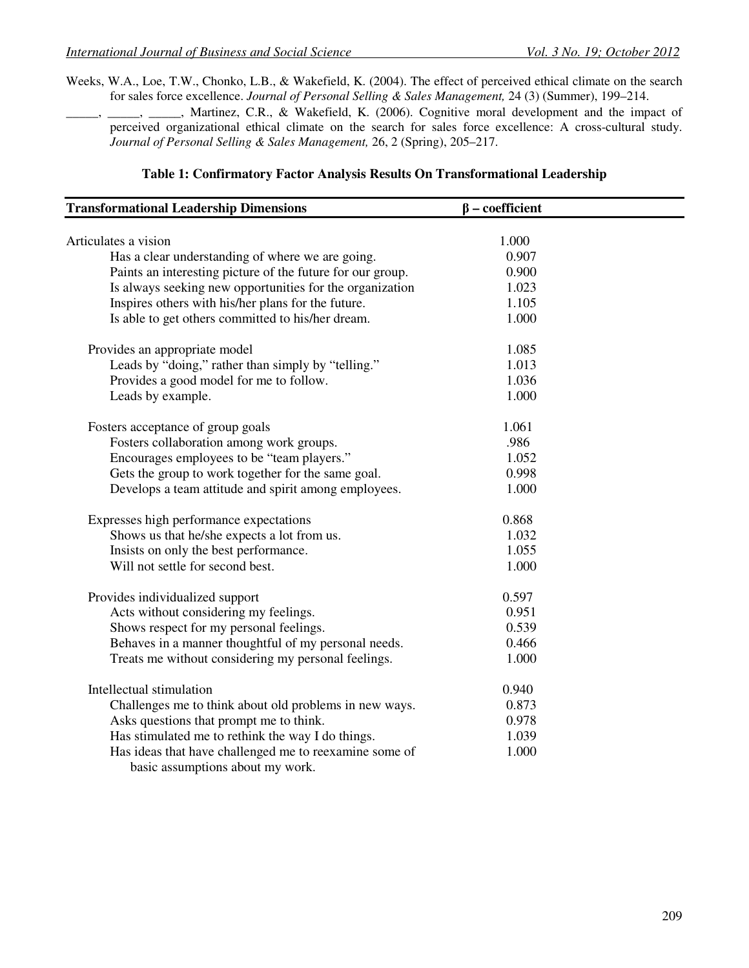Weeks, W.A., Loe, T.W., Chonko, L.B., & Wakefield, K. (2004). The effect of perceived ethical climate on the search for sales force excellence. *Journal of Personal Selling & Sales Management,* 24 (3) (Summer), 199–214.

\_\_\_\_\_, \_\_\_\_\_, \_\_\_\_\_, Martinez, C.R., & Wakefield, K. (2006). Cognitive moral development and the impact of perceived organizational ethical climate on the search for sales force excellence: A cross-cultural study. *Journal of Personal Selling & Sales Management,* 26, 2 (Spring), 205–217.

| <b>Transformational Leadership Dimensions</b>                                              | $\beta$ – coefficient |  |
|--------------------------------------------------------------------------------------------|-----------------------|--|
| Articulates a vision                                                                       | 1.000                 |  |
| Has a clear understanding of where we are going.                                           | 0.907                 |  |
| Paints an interesting picture of the future for our group.                                 | 0.900                 |  |
| Is always seeking new opportunities for the organization                                   | 1.023                 |  |
| Inspires others with his/her plans for the future.                                         | 1.105                 |  |
| Is able to get others committed to his/her dream.                                          | 1.000                 |  |
| Provides an appropriate model                                                              | 1.085                 |  |
| Leads by "doing," rather than simply by "telling."                                         | 1.013                 |  |
| Provides a good model for me to follow.                                                    | 1.036                 |  |
| Leads by example.                                                                          | 1.000                 |  |
| Fosters acceptance of group goals                                                          | 1.061                 |  |
| Fosters collaboration among work groups.                                                   | .986                  |  |
| Encourages employees to be "team players."                                                 | 1.052                 |  |
| Gets the group to work together for the same goal.                                         | 0.998                 |  |
| Develops a team attitude and spirit among employees.                                       | 1.000                 |  |
| Expresses high performance expectations                                                    | 0.868                 |  |
| Shows us that he/she expects a lot from us.                                                | 1.032                 |  |
| Insists on only the best performance.                                                      | 1.055                 |  |
| Will not settle for second best.                                                           | 1.000                 |  |
| Provides individualized support                                                            | 0.597                 |  |
| Acts without considering my feelings.                                                      | 0.951                 |  |
| Shows respect for my personal feelings.                                                    | 0.539                 |  |
| Behaves in a manner thoughtful of my personal needs.                                       | 0.466                 |  |
| Treats me without considering my personal feelings.                                        | 1.000                 |  |
| Intellectual stimulation                                                                   | 0.940                 |  |
| Challenges me to think about old problems in new ways.                                     | 0.873                 |  |
| Asks questions that prompt me to think.                                                    | 0.978                 |  |
| Has stimulated me to rethink the way I do things.                                          | 1.039                 |  |
| Has ideas that have challenged me to reexamine some of<br>basic assumptions about my work. | 1.000                 |  |

#### **Table 1: Confirmatory Factor Analysis Results On Transformational Leadership**